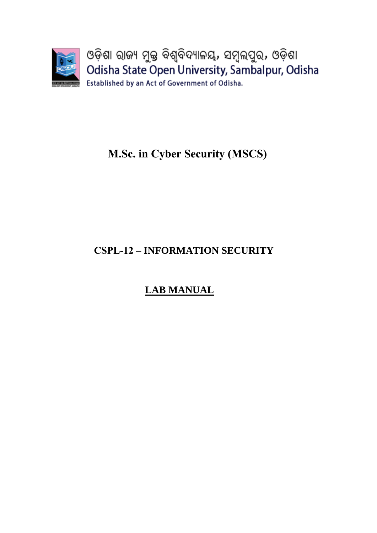

# **M.Sc. in Cyber Security (MSCS)**

# **CSPL-12 – INFORMATION SECURITY**

# **LAB MANUAL**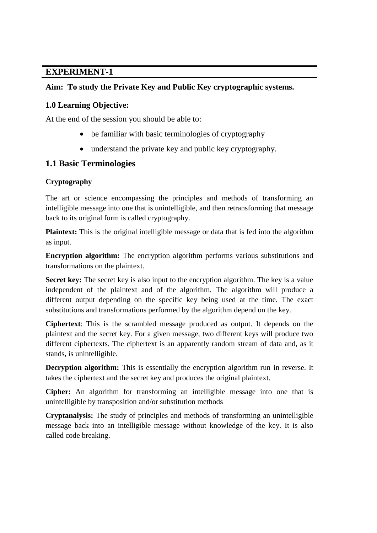# **Aim: To study the Private Key and Public Key cryptographic systems.**

# **1.0 Learning Objective:**

At the end of the session you should be able to:

- be familiar with basic terminologies of cryptography
- understand the private key and public key cryptography.

# **1.1 Basic Terminologies**

## **Cryptography**

The art or science encompassing the principles and methods of transforming an intelligible message into one that is unintelligible, and then retransforming that message back to its original form is called cryptography.

**Plaintext:** This is the original intelligible message or data that is fed into the algorithm as input.

**Encryption algorithm:** The encryption algorithm performs various substitutions and transformations on the plaintext.

**Secret key:** The secret key is also input to the encryption algorithm. The key is a value independent of the plaintext and of the algorithm. The algorithm will produce a different output depending on the specific key being used at the time. The exact substitutions and transformations performed by the algorithm depend on the key.

**Ciphertext**: This is the scrambled message produced as output. It depends on the plaintext and the secret key. For a given message, two different keys will produce two different ciphertexts. The ciphertext is an apparently random stream of data and, as it stands, is unintelligible.

**Decryption algorithm:** This is essentially the encryption algorithm run in reverse. It takes the ciphertext and the secret key and produces the original plaintext.

**Cipher:** An algorithm for transforming an intelligible message into one that is unintelligible by transposition and/or substitution methods

**Cryptanalysis:** The study of principles and methods of transforming an unintelligible message back into an intelligible message without knowledge of the key. It is also called code breaking.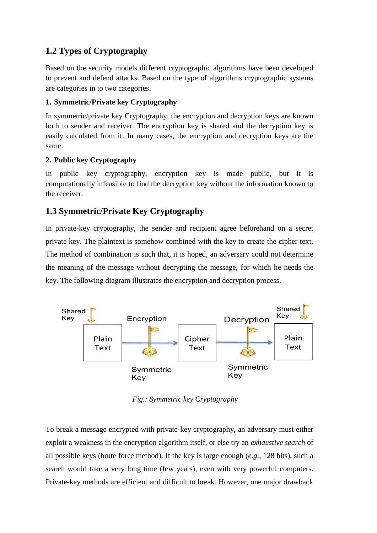# **1.2 Types of Cryptography**

Based on the security models different cryptographic algorithms have been developed to prevent and defend attacks. Based on the type of algorithms cryptographic systems are categories in to two categories**.** 

# **1. Symmetric/Private key Cryptography**

In symmetric/private key Cryptography, the encryption and decryption keys are known both to sender and receiver. The encryption key is shared and the decryption key is easily calculated from it. In many cases, the encryption and decryption keys are the same.

# **2. Public key Cryptography**

In public key cryptography, encryption key is made public, but it is computationally infeasible to find the decryption key without the information known to the receiver.

# **1.3 Symmetric/Private Key Cryptography**

In private-key cryptography, the sender and recipient agree beforehand on a secret private key. The plaintext is somehow combined with the key to create the cipher text. The method of combination is such that, it is hoped, an adversary could not determine the meaning of the message without decrypting the message, for which he needs the key. The following diagram illustrates the encryption and decryption process.



*Fig.: Symmetric key Cryptography* 

To break a message encrypted with private-key cryptography, an adversary must either exploit a weakness in the encryption algorithm itself, or else try an *exhaustive search* of all possible keys (brute force method). If the key is large enough (*e.g.,* 128 bits), such a search would take a very long time (few years), even with very powerful computers. Private-key methods are efficient and difficult to break. However, one major drawback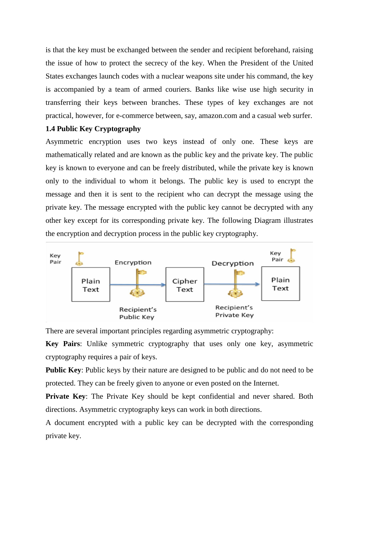is that the key must be exchanged between the sender and recipient beforehand, raising the issue of how to protect the secrecy of the key. When the President of the United States exchanges launch codes with a nuclear weapons site under his command, the key is accompanied by a team of armed couriers. Banks like wise use high security in transferring their keys between branches. These types of key exchanges are not practical, however, for e-commerce between, say, amazon.com and a casual web surfer.

#### **1.4 Public Key Cryptography**

Asymmetric encryption uses two keys instead of only one. These keys are mathematically related and are known as the public key and the private key. The public key is known to everyone and can be freely distributed, while the private key is known only to the individual to whom it belongs. The public key is used to encrypt the message and then it is sent to the recipient who can decrypt the message using the private key. The message encrypted with the public key cannot be decrypted with any other key except for its corresponding private key. The following Diagram illustrates the encryption and decryption process in the public key cryptography.



There are several important principles regarding asymmetric cryptography:

**Key Pairs**: Unlike symmetric cryptography that uses only one key, asymmetric cryptography requires a pair of keys.

**Public Key**: Public keys by their nature are designed to be public and do not need to be protected. They can be freely given to anyone or even posted on the Internet.

**Private Key**: The Private Key should be kept confidential and never shared. Both directions. Asymmetric cryptography keys can work in both directions.

A document encrypted with a public key can be decrypted with the corresponding private key.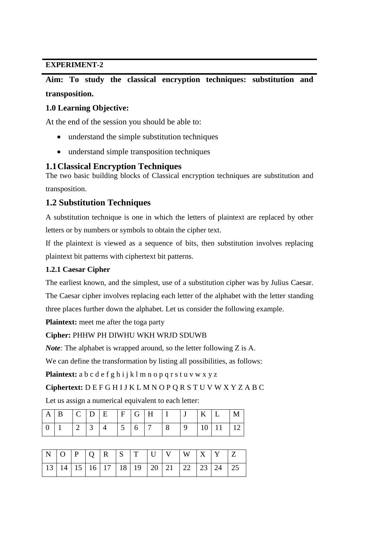**Aim: To study the classical encryption techniques: substitution and transposition.** 

### **1.0 Learning Objective:**

At the end of the session you should be able to:

- understand the simple substitution techniques
- understand simple transposition techniques

## **1.1Classical Encryption Techniques**

The two basic building blocks of Classical encryption techniques are substitution and transposition.

# **1.2 Substitution Techniques**

A substitution technique is one in which the letters of plaintext are replaced by other letters or by numbers or symbols to obtain the cipher text.

If the plaintext is viewed as a sequence of bits, then substitution involves replacing plaintext bit patterns with ciphertext bit patterns.

### **1.2.1 Caesar Cipher**

The earliest known, and the simplest, use of a substitution cipher was by Julius Caesar.

The Caesar cipher involves replacing each letter of the alphabet with the letter standing three places further down the alphabet. Let us consider the following example.

**Plaintext:** meet me after the toga party

#### **Cipher:** PHHW PH DIWHU WKH WRJD SDUWB

*Note*: The alphabet is wrapped around, so the letter following Z is A.

We can define the transformation by listing all possibilities, as follows:

Plaintext: a b c d e f g h i j k l m n o p q r s t u v w x y z

#### **Ciphertext:** D E F G H I J K L M N O P Q R S T U V W X Y Z A B C

Let us assign a numerical equivalent to each letter:

| $A \mid B \mid C \mid D \mid E \mid F \mid G \mid H \mid I \mid J \mid K \mid L \mid M \mid$ |  |  |  |  |  |  |
|----------------------------------------------------------------------------------------------|--|--|--|--|--|--|
|                                                                                              |  |  |  |  |  |  |

|  |  |  |  | N O P Q R S T U V W X Y Z                                      |  |  |
|--|--|--|--|----------------------------------------------------------------|--|--|
|  |  |  |  | 13   14   15   16   17   18   19   20   21   22   23   24   25 |  |  |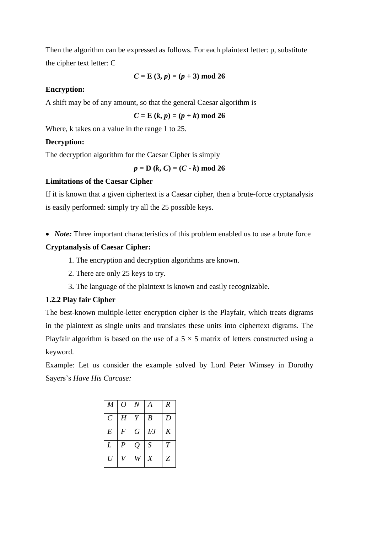Then the algorithm can be expressed as follows. For each plaintext letter: p, substitute the cipher text letter: C

$$
C = E(3, p) = (p + 3) \text{ mod } 26
$$

#### **Encryption:**

A shift may be of any amount, so that the general Caesar algorithm is

 $C = E (k, p) = (p + k) \text{ mod } 26$ 

Where, k takes on a value in the range 1 to 25.

#### **Decryption:**

The decryption algorithm for the Caesar Cipher is simply

 $p = D (k, C) = (C - k) \text{ mod } 26$ 

#### **Limitations of the Caesar Cipher**

If it is known that a given ciphertext is a Caesar cipher, then a brute-force cryptanalysis is easily performed: simply try all the 25 possible keys.

• *Note:* Three important characteristics of this problem enabled us to use a brute force

#### **Cryptanalysis of Caesar Cipher:**

- 1. The encryption and decryption algorithms are known.
- 2. There are only 25 keys to try.
- 3**.** The language of the plaintext is known and easily recognizable.

#### **1.2.2 Play fair Cipher**

The best-known multiple-letter encryption cipher is the Playfair, which treats digrams in the plaintext as single units and translates these units into ciphertext digrams. The Playfair algorithm is based on the use of a  $5 \times 5$  matrix of letters constructed using a keyword.

Example: Let us consider the example solved by Lord Peter Wimsey in Dorothy Sayers's *Have His Carcase:*

| M                | $\overline{O}$   | $\boldsymbol{N}$ | $\boldsymbol{A}$ | $\boldsymbol{R}$ |
|------------------|------------------|------------------|------------------|------------------|
| $\mathcal{C}$    | H                | Y                | $\boldsymbol{B}$ | D                |
| $\boldsymbol{E}$ | $\boldsymbol{F}$ | $\,G\,$          | L/J              | K                |
| L                | $\boldsymbol{P}$ | $\mathcal{Q}$    | S                | $\tau$           |
| U                | $\overline{V}$   | W                | $\boldsymbol{X}$ | Z                |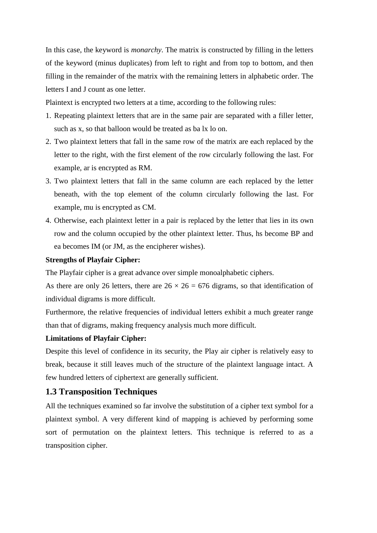In this case, the keyword is *monarchy*. The matrix is constructed by filling in the letters of the keyword (minus duplicates) from left to right and from top to bottom, and then filling in the remainder of the matrix with the remaining letters in alphabetic order. The letters I and J count as one letter.

Plaintext is encrypted two letters at a time, according to the following rules:

- 1. Repeating plaintext letters that are in the same pair are separated with a filler letter, such as x, so that balloon would be treated as ba lx lo on.
- 2. Two plaintext letters that fall in the same row of the matrix are each replaced by the letter to the right, with the first element of the row circularly following the last. For example, ar is encrypted as RM.
- 3. Two plaintext letters that fall in the same column are each replaced by the letter beneath, with the top element of the column circularly following the last. For example, mu is encrypted as CM.
- 4. Otherwise, each plaintext letter in a pair is replaced by the letter that lies in its own row and the column occupied by the other plaintext letter. Thus, hs become BP and ea becomes IM (or JM, as the encipherer wishes).

#### **Strengths of Playfair Cipher:**

The Playfair cipher is a great advance over simple monoalphabetic ciphers.

As there are only 26 letters, there are  $26 \times 26 = 676$  digrams, so that identification of individual digrams is more difficult.

Furthermore, the relative frequencies of individual letters exhibit a much greater range than that of digrams, making frequency analysis much more difficult.

#### **Limitations of Playfair Cipher:**

Despite this level of confidence in its security, the Play air cipher is relatively easy to break, because it still leaves much of the structure of the plaintext language intact. A few hundred letters of ciphertext are generally sufficient.

## **1.3 Transposition Techniques**

All the techniques examined so far involve the substitution of a cipher text symbol for a plaintext symbol. A very different kind of mapping is achieved by performing some sort of permutation on the plaintext letters. This technique is referred to as a transposition cipher.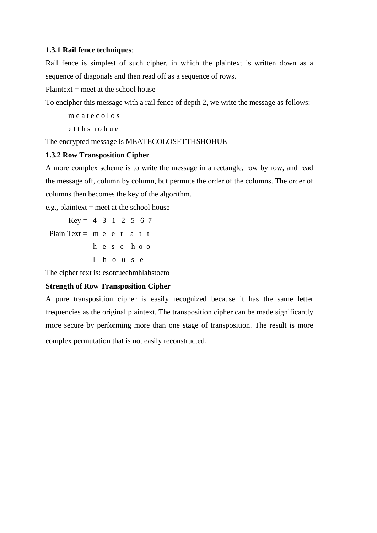#### 1**.3.1 Rail fence techniques**:

Rail fence is simplest of such cipher, in which the plaintext is written down as a sequence of diagonals and then read off as a sequence of rows.

Plaintext  $=$  meet at the school house

To encipher this message with a rail fence of depth 2, we write the message as follows:

m e a t e c o l o s

e t t h s h o h u e

The encrypted message is MEATECOLOSETTHSHOHUE

#### **1.3.2 Row Transposition Cipher**

A more complex scheme is to write the message in a rectangle, row by row, and read the message off, column by column, but permute the order of the columns. The order of columns then becomes the key of the algorithm.

e.g., plaintext  $=$  meet at the school house

 $Key = 4$  3 1 2 5 6 7 Plain Text = m e e t a t t h e s c h o o l h o u s e

The cipher text is: esotcueehmhlahstoeto

#### **Strength of Row Transposition Cipher**

A pure transposition cipher is easily recognized because it has the same letter frequencies as the original plaintext. The transposition cipher can be made significantly more secure by performing more than one stage of transposition. The result is more complex permutation that is not easily reconstructed.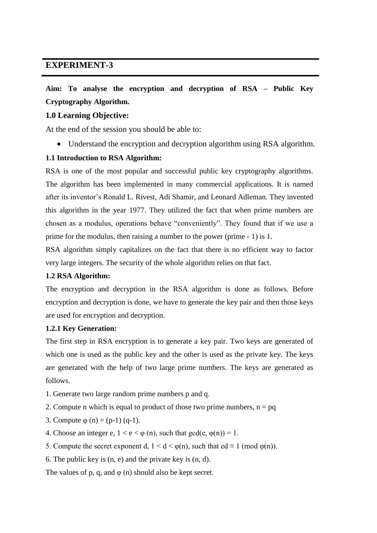# **Aim: To analyse the encryption and decryption of RSA – Public Key Cryptography Algorithm.**

#### **1.0 Learning Objective:**

At the end of the session you should be able to:

Understand the encryption and decryption algorithm using RSA algorithm.

#### **1.1 Introduction to RSA Algorithm:**

RSA is one of the most popular and successful public key cryptography algorithms. The algorithm has been implemented in many commercial applications. It is named after its inventor's Ronald L. Rivest, Adi Shamir, and Leonard Adleman. They invented this algorithm in the year 1977. They utilized the fact that when prime numbers are chosen as a modulus, operations behave "conveniently". They found that if we use a prime for the modulus, then raising a number to the power (prime - 1) is 1.

RSA algorithm simply capitalizes on the fact that there is no efficient way to factor very large integers. The security of the whole algorithm relies on that fact.

#### **1.2 RSA Algorithm:**

The encryption and decryption in the RSA algorithm is done as follows. Before encryption and decryption is done, we have to generate the key pair and then those keys are used for encryption and decryption.

#### **1.2.1 Key Generation:**

The first step in RSA encryption is to generate a key pair. Two keys are generated of which one is used as the public key and the other is used as the private key. The keys are generated with the help of two large prime numbers. The keys are generated as follows.

- 1. Generate two large random prime numbers p and q.
- 2. Compute n which is equal to product of those two prime numbers,  $n = pq$
- 3. Compute  $\varphi$  (n) = (p-1) (q-1).
- 4. Choose an integer e,  $1 < e < \varphi$  (n), such that  $gcd(e, \varphi(n)) = 1$ .
- 5. Compute the secret exponent d,  $1 \le d \le \varphi(n)$ , such that  $ed \equiv 1 \pmod{\varphi(n)}$ .
- 6. The public key is (n, e) and the private key is (n, d).

The values of p, q, and  $\varphi$  (n) should also be kept secret.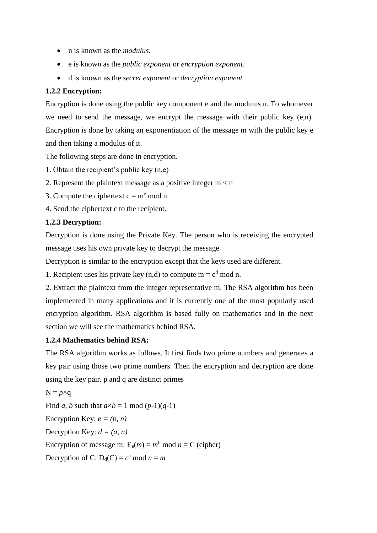- n is known as the *modulus*.
- e is known as the *public exponent* or *encryption exponent*.
- d is known as the *secret exponent* or *decryption exponent*

#### **1.2.2 Encryption:**

Encryption is done using the public key component e and the modulus n. To whomever we need to send the message, we encrypt the message with their public key (e,n). Encryption is done by taking an exponentiation of the message m with the public key e and then taking a modulus of it.

The following steps are done in encryption.

- 1. Obtain the recipient's public key (n,e)
- 2. Represent the plaintext message as a positive integer  $m < n$
- 3. Compute the ciphertext  $c = m<sup>e</sup>$  mod n.
- 4. Send the ciphertext c to the recipient.

#### **1.2.3 Decryption:**

Decryption is done using the Private Key. The person who is receiving the encrypted message uses his own private key to decrypt the message.

Decryption is similar to the encryption except that the keys used are different.

1. Recipient uses his private key (n,d) to compute  $m = c<sup>d</sup>$  mod n.

2. Extract the plaintext from the integer representative m. The RSA algorithm has been implemented in many applications and it is currently one of the most popularly used encryption algorithm. RSA algorithm is based fully on mathematics and in the next section we will see the mathematics behind RSA.

#### **1.2.4 Mathematics behind RSA:**

The RSA algorithm works as follows. It first finds two prime numbers and generates a key pair using those two prime numbers. Then the encryption and decryption are done using the key pair. p and q are distinct primes

 $N = p \times q$ Find *a*, *b* such that  $a \times b = 1$  mod  $(p-1)(q-1)$ Encryption Key:  $e = (b, n)$ Decryption Key:  $d = (a, n)$ Encryption of message m:  $E_e(m) = m^b \text{ mod } n = C \text{ (cipher)}$ Decryption of C:  $D_d(C) = c^a \mod n = m$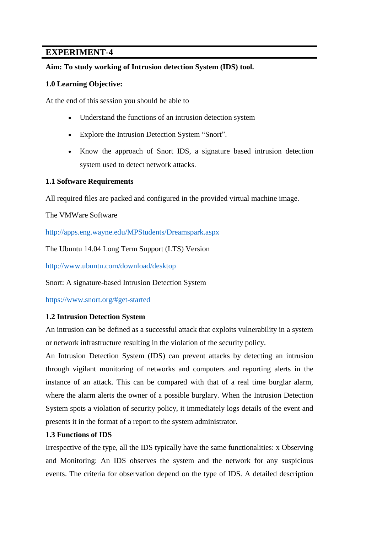#### **Aim: To study working of Intrusion detection System (IDS) tool.**

#### **1.0 Learning Objective:**

At the end of this session you should be able to

- Understand the functions of an intrusion detection system
- Explore the Intrusion Detection System "Snort".
- Know the approach of Snort IDS, a signature based intrusion detection system used to detect network attacks.

#### **1.1 Software Requirements**

All required files are packed and configured in the provided virtual machine image.

The VMWare Software

http://apps.eng.wayne.edu/MPStudents/Dreamspark.aspx

The Ubuntu 14.04 Long Term Support (LTS) Version

http://www.ubuntu.com/download/desktop

Snort: A signature-based Intrusion Detection System

https://www.snort.org/#get-started

#### **1.2 Intrusion Detection System**

An intrusion can be defined as a successful attack that exploits vulnerability in a system or network infrastructure resulting in the violation of the security policy.

An Intrusion Detection System (IDS) can prevent attacks by detecting an intrusion through vigilant monitoring of networks and computers and reporting alerts in the instance of an attack. This can be compared with that of a real time burglar alarm, where the alarm alerts the owner of a possible burglary. When the Intrusion Detection System spots a violation of security policy, it immediately logs details of the event and presents it in the format of a report to the system administrator.

#### **1.3 Functions of IDS**

Irrespective of the type, all the IDS typically have the same functionalities: x Observing and Monitoring: An IDS observes the system and the network for any suspicious events. The criteria for observation depend on the type of IDS. A detailed description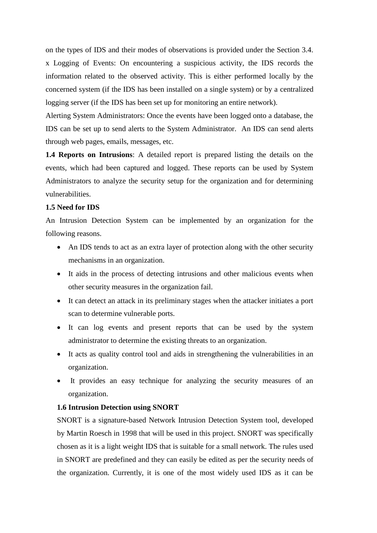on the types of IDS and their modes of observations is provided under the Section 3.4. x Logging of Events: On encountering a suspicious activity, the IDS records the information related to the observed activity. This is either performed locally by the concerned system (if the IDS has been installed on a single system) or by a centralized logging server (if the IDS has been set up for monitoring an entire network).

Alerting System Administrators: Once the events have been logged onto a database, the IDS can be set up to send alerts to the System Administrator. An IDS can send alerts through web pages, emails, messages, etc.

**1.4 Reports on Intrusions**: A detailed report is prepared listing the details on the events, which had been captured and logged. These reports can be used by System Administrators to analyze the security setup for the organization and for determining vulnerabilities.

#### **1.5 Need for IDS**

An Intrusion Detection System can be implemented by an organization for the following reasons.

- An IDS tends to act as an extra layer of protection along with the other security mechanisms in an organization.
- It aids in the process of detecting intrusions and other malicious events when other security measures in the organization fail.
- It can detect an attack in its preliminary stages when the attacker initiates a port scan to determine vulnerable ports.
- It can log events and present reports that can be used by the system administrator to determine the existing threats to an organization.
- It acts as quality control tool and aids in strengthening the vulnerabilities in an organization.
- It provides an easy technique for analyzing the security measures of an organization.

#### **1.6 Intrusion Detection using SNORT**

SNORT is a signature-based Network Intrusion Detection System tool, developed by Martin Roesch in 1998 that will be used in this project. SNORT was specifically chosen as it is a light weight IDS that is suitable for a small network. The rules used in SNORT are predefined and they can easily be edited as per the security needs of the organization. Currently, it is one of the most widely used IDS as it can be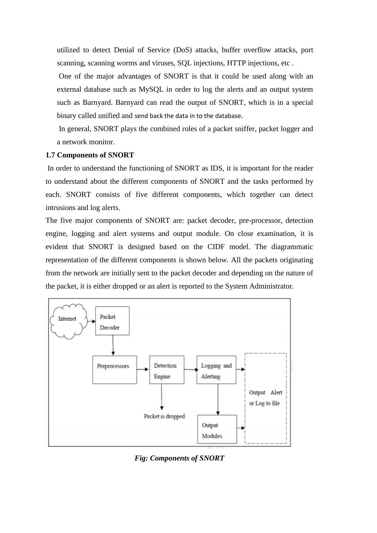utilized to detect Denial of Service (DoS) attacks, buffer overflow attacks, port scanning, scanning worms and viruses, SQL injections, HTTP injections, etc .

One of the major advantages of SNORT is that it could be used along with an external database such as MySQL in order to log the alerts and an output system such as Barnyard. Barnyard can read the output of SNORT, which is in a special binary called unified and send back the data in to the database.

In general, SNORT plays the combined roles of a packet sniffer, packet logger and a network monitor.

#### **1.7 Components of SNORT**

In order to understand the functioning of SNORT as IDS, it is important for the reader to understand about the different components of SNORT and the tasks performed by each. SNORT consists of five different components, which together can detect intrusions and log alerts.

The five major components of SNORT are: packet decoder, pre-processor, detection engine, logging and alert systems and output module. On close examination, it is evident that SNORT is designed based on the CIDF model. The diagrammatic representation of the different components is shown below. All the packets originating from the network are initially sent to the packet decoder and depending on the nature of the packet, it is either dropped or an alert is reported to the System Administrator.



*Fig: Components of SNORT*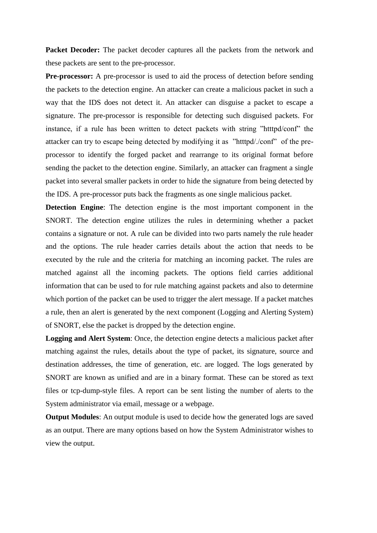**Packet Decoder:** The packet decoder captures all the packets from the network and these packets are sent to the pre-processor.

**Pre-processor:** A pre-processor is used to aid the process of detection before sending the packets to the detection engine. An attacker can create a malicious packet in such a way that the IDS does not detect it. An attacker can disguise a packet to escape a signature. The pre-processor is responsible for detecting such disguised packets. For instance, if a rule has been written to detect packets with string "htttpd/conf" the attacker can try to escape being detected by modifying it as "htttpd/./conf" of the preprocessor to identify the forged packet and rearrange to its original format before sending the packet to the detection engine. Similarly, an attacker can fragment a single packet into several smaller packets in order to hide the signature from being detected by the IDS. A pre-processor puts back the fragments as one single malicious packet.

**Detection Engine**: The detection engine is the most important component in the SNORT. The detection engine utilizes the rules in determining whether a packet contains a signature or not. A rule can be divided into two parts namely the rule header and the options. The rule header carries details about the action that needs to be executed by the rule and the criteria for matching an incoming packet. The rules are matched against all the incoming packets. The options field carries additional information that can be used to for rule matching against packets and also to determine which portion of the packet can be used to trigger the alert message. If a packet matches a rule, then an alert is generated by the next component (Logging and Alerting System) of SNORT, else the packet is dropped by the detection engine.

**Logging and Alert System**: Once, the detection engine detects a malicious packet after matching against the rules, details about the type of packet, its signature, source and destination addresses, the time of generation, etc. are logged. The logs generated by SNORT are known as unified and are in a binary format. These can be stored as text files or tcp-dump-style files. A report can be sent listing the number of alerts to the System administrator via email, message or a webpage.

**Output Modules:** An output module is used to decide how the generated logs are saved as an output. There are many options based on how the System Administrator wishes to view the output.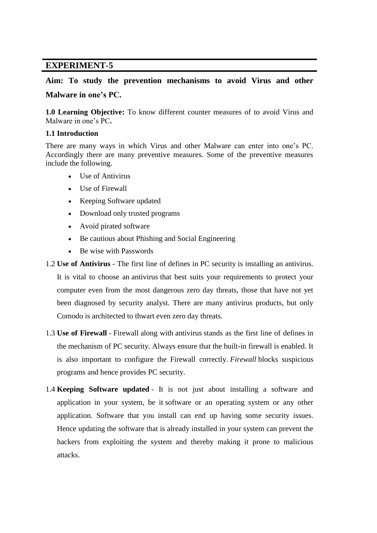# **Aim: To study the prevention mechanisms to avoid Virus and other Malware in one's PC.**

**1.0 Learning Objective:** To know different counter measures of to avoid Virus and Malware in one's PC**.**

#### **1.1 Introduction**

There are many ways in which Virus and other Malware can enter into one's PC. Accordingly there are many preventive measures. Some of the preventive measures include the following.

- Use of Antivirus
- Use of Firewall
- Keeping Software updated
- Download only trusted programs
- Avoid pirated software
- Be cautious about Phishing and Social Engineering
- Be wise with Passwords
- 1.2 **Use of Antivirus** The first line of defines in PC security is installing an [antivirus.](https://antivirus.comodo.com/) It is vital to choose an antivirus that best suits your requirements to protect your computer even from the most dangerous zero day threats, those that have not yet been diagnosed by security analyst. There are many antivirus products, but only Comodo is architected to thwart even zero day threats.
- 1.3 **Use of Firewall** [Firewall](https://personalfirewall.comodo.com/) along with [antivirus](https://antivirus.comodo.com/how-antivirus-software-works.php) stands as the first line of defines in the mechanism of PC security. Always ensure that the built-in firewall is enabled. It is also important to configure the Firewall correctly. *Firewall* blocks suspicious programs and hence provides PC security.
- 1.4 **Keeping Software updated** It is not just about installing a software and application in your system, be it software or an operating system or any other application. Software that you install can end up having some security issues. Hence updating the software that is already installed in your system can prevent the hackers from exploiting the system and thereby making it prone to malicious attacks.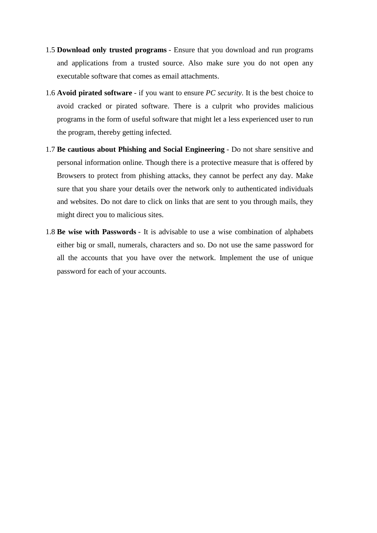- 1.5 **Download only trusted programs** Ensure that you download and run programs and applications from a trusted source. Also make sure you do not open any executable software that comes as email attachments.
- 1.6 **Avoid pirated software** if you want to ensure *PC security*. It is the best choice to avoid cracked or pirated software. There is a culprit who provides malicious programs in the form of useful software that might let a less experienced user to run the program, thereby getting infected.
- 1.7 **Be cautious about Phishing and Social Engineering** Do not share sensitive and personal information online. Though there is a protective measure that is offered by Browsers to protect from phishing attacks, they cannot be perfect any day. Make sure that you share your details over the network only to authenticated individuals and websites. Do not dare to click on links that are sent to you through mails, they might direct you to malicious sites.
- 1.8 **Be wise with Passwords** It is advisable to use a wise combination of alphabets either big or small, numerals, characters and so. Do not use the same password for all the accounts that you have over the network. Implement the use of unique password for each of your accounts.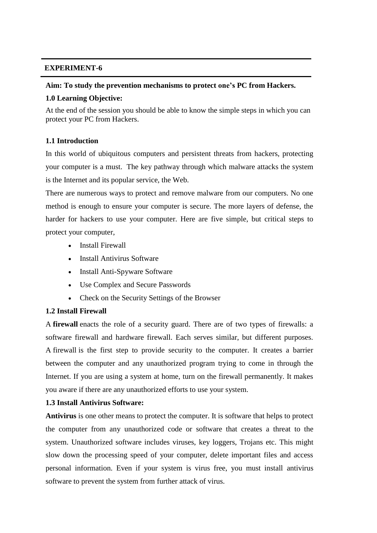#### **Aim: To study the prevention mechanisms to protect one's PC from Hackers.**

#### **1.0 Learning Objective:**

At the end of the session you should be able to know the simple steps in which you can protect your PC from Hackers.

#### **1.1 Introduction**

In this world of ubiquitous computers and persistent threats from hackers, protecting your computer is a must. The key pathway through which malware attacks the system is the Internet and its popular service, the Web.

There are numerous ways to protect and remove malware from our computers. No one method is enough to ensure your computer is secure. The more layers of defense, the harder for hackers to use your computer. Here are five simple, but critical steps to protect your computer,

- Install Firewall
- Install Antivirus Software
- Install Anti-Spyware Software
- Use Complex and Secure Passwords
- Check on the Security Settings of the Browser

#### **1.2 Install Firewall**

A **firewall** enacts the role of a security guard. There are of two types of firewalls: a software firewall and hardware firewall. Each serves similar, but different purposes. A [firewall](https://personalfirewall.comodo.com/) is the first step to provide security to the computer. It creates a barrier between the computer and any unauthorized program trying to come in through the Internet. If you are using a system at home, turn on the firewall permanently. It makes you aware if there are any unauthorized efforts to use your system.

#### **1.3 Install Antivirus Software:**

**Antivirus** is one other means to protect the computer. It is software that helps to protect the computer from any unauthorized code or software that creates a threat to the system. Unauthorized software includes viruses, key loggers, Trojans etc. This might slow down the processing speed of your computer, delete important files and access personal information. Even if your system is virus free, you must install antivirus software to prevent the system from further attack of virus.